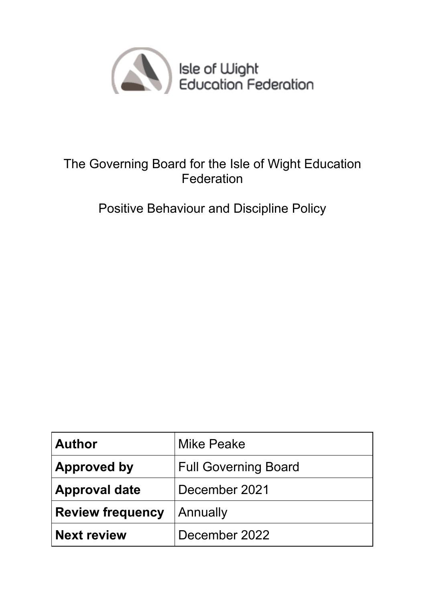

## The Governing Board for the Isle of Wight Education Federation

Positive Behaviour and Discipline Policy

| <b>Author</b>           | <b>Mike Peake</b>           |
|-------------------------|-----------------------------|
| <b>Approved by</b>      | <b>Full Governing Board</b> |
| <b>Approval date</b>    | December 2021               |
| <b>Review frequency</b> | Annually                    |
| <b>Next review</b>      | December 2022               |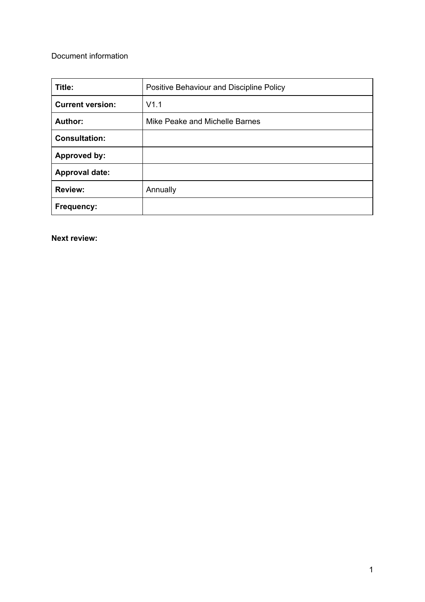#### Document information

| Title:                  | Positive Behaviour and Discipline Policy |
|-------------------------|------------------------------------------|
| <b>Current version:</b> | V1.1                                     |
| Author:                 | Mike Peake and Michelle Barnes           |
| <b>Consultation:</b>    |                                          |
| <b>Approved by:</b>     |                                          |
| <b>Approval date:</b>   |                                          |
| <b>Review:</b>          | Annually                                 |
| Frequency:              |                                          |

**Next review:**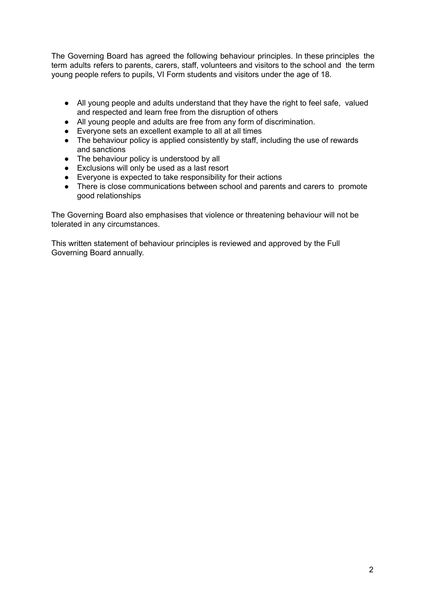The Governing Board has agreed the following behaviour principles. In these principles the term adults refers to parents, carers, staff, volunteers and visitors to the school and the term young people refers to pupils, VI Form students and visitors under the age of 18.

- All young people and adults understand that they have the right to feel safe, valued and respected and learn free from the disruption of others
- All young people and adults are free from any form of discrimination.
- Everyone sets an excellent example to all at all times
- The behaviour policy is applied consistently by staff, including the use of rewards and sanctions
- The behaviour policy is understood by all
- Exclusions will only be used as a last resort
- Everyone is expected to take responsibility for their actions
- There is close communications between school and parents and carers to promote good relationships

The Governing Board also emphasises that violence or threatening behaviour will not be tolerated in any circumstances.

This written statement of behaviour principles is reviewed and approved by the Full Governing Board annually.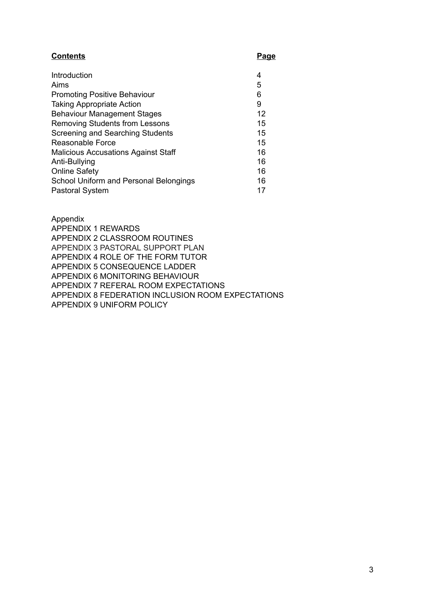#### **Contents Page**

| Introduction                               | 4  |
|--------------------------------------------|----|
| Aims                                       | 5  |
| <b>Promoting Positive Behaviour</b>        | 6  |
| <b>Taking Appropriate Action</b>           | 9  |
| <b>Behaviour Management Stages</b>         | 12 |
| <b>Removing Students from Lessons</b>      | 15 |
| Screening and Searching Students           | 15 |
| Reasonable Force                           | 15 |
| <b>Malicious Accusations Against Staff</b> | 16 |
| Anti-Bullying                              | 16 |
| <b>Online Safety</b>                       | 16 |
| School Uniform and Personal Belongings     | 16 |
| <b>Pastoral System</b>                     | 17 |

Appendix APPENDIX 1 REWARDS APPENDIX 2 CLASSROOM ROUTINES APPENDIX 3 PASTORAL SUPPORT PLAN APPENDIX 4 ROLE OF THE FORM TUTOR APPENDIX 5 CONSEQUENCE LADDER APPENDIX 6 MONITORING BEHAVIOUR APPENDIX 7 REFERAL ROOM EXPECTATIONS APPENDIX 8 FEDERATION INCLUSION ROOM EXPECTATIONS APPENDIX 9 UNIFORM POLICY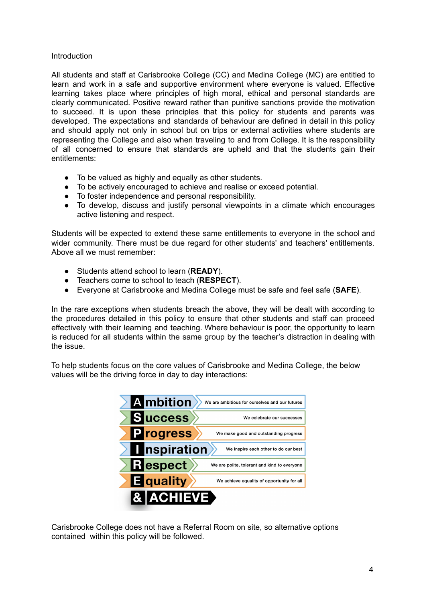#### Introduction

All students and staff at Carisbrooke College (CC) and Medina College (MC) are entitled to learn and work in a safe and supportive environment where everyone is valued. Effective learning takes place where principles of high moral, ethical and personal standards are clearly communicated. Positive reward rather than punitive sanctions provide the motivation to succeed. It is upon these principles that this policy for students and parents was developed. The expectations and standards of behaviour are defined in detail in this policy and should apply not only in school but on trips or external activities where students are representing the College and also when traveling to and from College. It is the responsibility of all concerned to ensure that standards are upheld and that the students gain their entitlements:

- To be valued as highly and equally as other students.
- To be actively encouraged to achieve and realise or exceed potential.
- To foster independence and personal responsibility.
- To develop, discuss and justify personal viewpoints in a climate which encourages active listening and respect.

Students will be expected to extend these same entitlements to everyone in the school and wider community. There must be due regard for other students' and teachers' entitlements. Above all we must remember:

- Students attend school to learn (**READY**).
- Teachers come to school to teach (**RESPECT**).
- Everyone at Carisbrooke and Medina College must be safe and feel safe (**SAFE**).

In the rare exceptions when students breach the above, they will be dealt with according to the procedures detailed in this policy to ensure that other students and staff can proceed effectively with their learning and teaching. Where behaviour is poor, the opportunity to learn is reduced for all students within the same group by the teacher's distraction in dealing with the issue.

To help students focus on the core values of Carisbrooke and Medina College, the below values will be the driving force in day to day interactions:



Carisbrooke College does not have a Referral Room on site, so alternative options contained within this policy will be followed.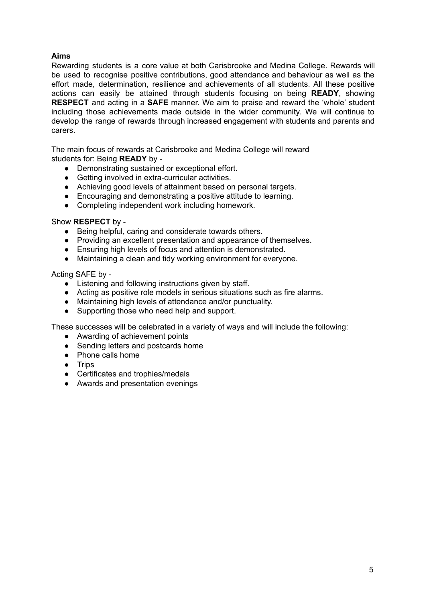#### **Aims**

Rewarding students is a core value at both Carisbrooke and Medina College. Rewards will be used to recognise positive contributions, good attendance and behaviour as well as the effort made, determination, resilience and achievements of all students. All these positive actions can easily be attained through students focusing on being **READY**, showing **RESPECT** and acting in a **SAFE** manner. We aim to praise and reward the 'whole' student including those achievements made outside in the wider community. We will continue to develop the range of rewards through increased engagement with students and parents and carers.

The main focus of rewards at Carisbrooke and Medina College will reward students for: Being **READY** by -

- Demonstrating sustained or exceptional effort.
- Getting involved in extra-curricular activities.
- Achieving good levels of attainment based on personal targets.
- Encouraging and demonstrating a positive attitude to learning.
- Completing independent work including homework.

#### Show **RESPECT** by -

- Being helpful, caring and considerate towards others.
- Providing an excellent presentation and appearance of themselves.
- Ensuring high levels of focus and attention is demonstrated.
- Maintaining a clean and tidy working environment for everyone.

Acting SAFE by -

- Listening and following instructions given by staff.
- Acting as positive role models in serious situations such as fire alarms.<br>● Maintaining high levels of attendance and/or punctuality.
- Maintaining high levels of attendance and/or punctuality.
- Supporting those who need help and support.

These successes will be celebrated in a variety of ways and will include the following:

- Awarding of achievement points
- Sending letters and postcards home
- Phone calls home
- Trips
- Certificates and trophies/medals
- Awards and presentation evenings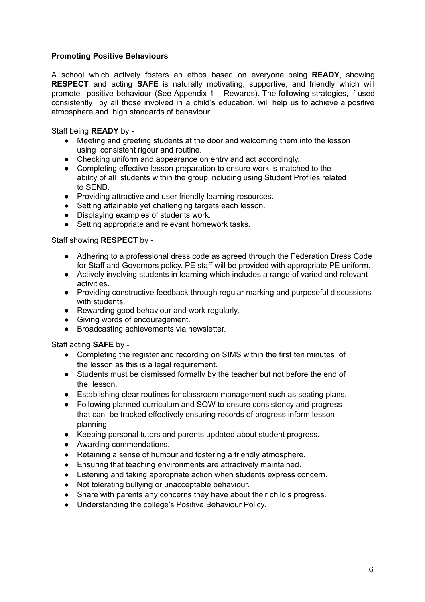#### **Promoting Positive Behaviours**

A school which actively fosters an ethos based on everyone being **READY**, showing **RESPECT** and acting **SAFE** is naturally motivating, supportive, and friendly which will promote positive behaviour (See Appendix 1 – Rewards). The following strategies, if used consistently by all those involved in a child's education, will help us to achieve a positive atmosphere and high standards of behaviour:

Staff being **READY** by -

- Meeting and greeting students at the door and welcoming them into the lesson using consistent rigour and routine.
- Checking uniform and appearance on entry and act accordingly.
- Completing effective lesson preparation to ensure work is matched to the ability of all students within the group including using Student Profiles related to SEND.
- Providing attractive and user friendly learning resources.
- Setting attainable yet challenging targets each lesson.
- Displaying examples of students work.
- Setting appropriate and relevant homework tasks.

Staff showing **RESPECT** by -

- Adhering to a professional dress code as agreed through the Federation Dress Code for Staff and Governors policy. PE staff will be provided with appropriate PE uniform.
- Actively involving students in learning which includes a range of varied and relevant activities.
- Providing constructive feedback through regular marking and purposeful discussions with students.
- Rewarding good behaviour and work regularly.
- Giving words of encouragement.
- Broadcasting achievements via newsletter.

Staff acting **SAFE** by -

- Completing the register and recording on SIMS within the first ten minutes of the lesson as this is a legal requirement.
- Students must be dismissed formally by the teacher but not before the end of the lesson.
- Establishing clear routines for classroom management such as seating plans.
- Following planned curriculum and SOW to ensure consistency and progress that can be tracked effectively ensuring records of progress inform lesson planning.
- Keeping personal tutors and parents updated about student progress.
- Awarding commendations.
- Retaining a sense of humour and fostering a friendly atmosphere.
- Ensuring that teaching environments are attractively maintained.
- Listening and taking appropriate action when students express concern.
- Not tolerating bullying or unacceptable behaviour.
- Share with parents any concerns they have about their child's progress.
- Understanding the college's Positive Behaviour Policy.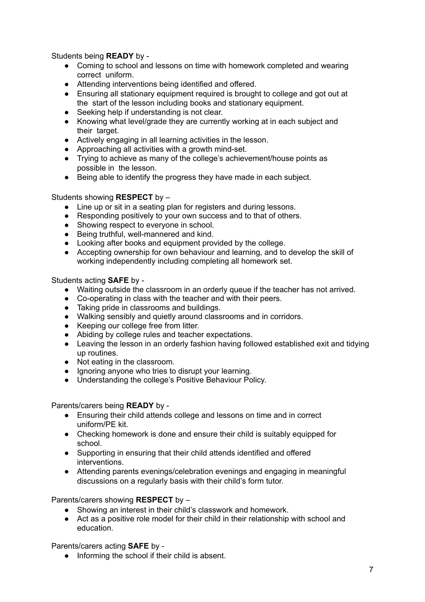Students being **READY** by -

- Coming to school and lessons on time with homework completed and wearing correct uniform.
- Attending interventions being identified and offered.
- Ensuring all stationary equipment required is brought to college and got out at the start of the lesson including books and stationary equipment.
- Seeking help if understanding is not clear.
- Knowing what level/grade they are currently working at in each subject and their target.
- Actively engaging in all learning activities in the lesson.
- Approaching all activities with a growth mind-set.
- Trying to achieve as many of the college's achievement/house points as possible in the lesson.
- Being able to identify the progress they have made in each subject.

#### Students showing **RESPECT** by –

- Line up or sit in a seating plan for registers and during lessons.
- Responding positively to your own success and to that of others.
- Showing respect to everyone in school.
- Being truthful, well-mannered and kind.
- Looking after books and equipment provided by the college.
- Accepting ownership for own behaviour and learning, and to develop the skill of working independently including completing all homework set.

Students acting **SAFE** by -

- Waiting outside the classroom in an orderly queue if the teacher has not arrived.
- Co-operating in class with the teacher and with their peers.
- Taking pride in classrooms and buildings.
- Walking sensibly and quietly around classrooms and in corridors.
- Keeping our college free from litter.
- Abiding by college rules and teacher expectations.
- Leaving the lesson in an orderly fashion having followed established exit and tidying up routines.
- Not eating in the classroom.
- Ignoring anyone who tries to disrupt your learning.
- Understanding the college's Positive Behaviour Policy.

Parents/carers being **READY** by -

- Ensuring their child attends college and lessons on time and in correct uniform/PE kit.
- Checking homework is done and ensure their child is suitably equipped for school.
- Supporting in ensuring that their child attends identified and offered interventions.
- Attending parents evenings/celebration evenings and engaging in meaningful discussions on a regularly basis with their child's form tutor.

Parents/carers showing **RESPECT** by –

- Showing an interest in their child's classwork and homework.
- Act as a positive role model for their child in their relationship with school and education.

Parents/carers acting **SAFE** by -

● Informing the school if their child is absent.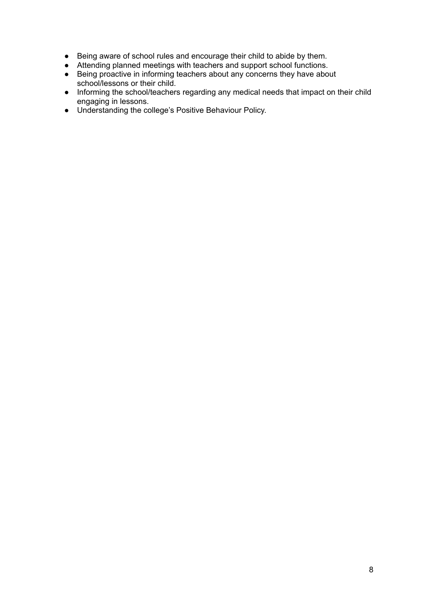- Being aware of school rules and encourage their child to abide by them.
- Attending planned meetings with teachers and support school functions.
- Being proactive in informing teachers about any concerns they have about school/lessons or their child.
- Informing the school/teachers regarding any medical needs that impact on their child engaging in lessons.
- Understanding the college's Positive Behaviour Policy.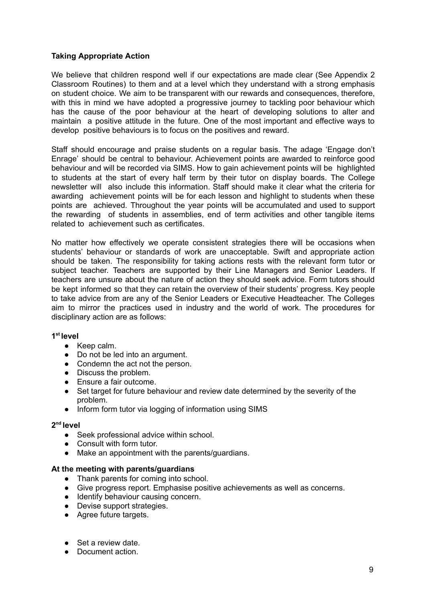#### **Taking Appropriate Action**

We believe that children respond well if our expectations are made clear (See Appendix 2 Classroom Routines) to them and at a level which they understand with a strong emphasis on student choice. We aim to be transparent with our rewards and consequences, therefore, with this in mind we have adopted a progressive journey to tackling poor behaviour which has the cause of the poor behaviour at the heart of developing solutions to alter and maintain a positive attitude in the future. One of the most important and effective ways to develop positive behaviours is to focus on the positives and reward.

Staff should encourage and praise students on a regular basis. The adage 'Engage don't Enrage' should be central to behaviour. Achievement points are awarded to reinforce good behaviour and will be recorded via SIMS. How to gain achievement points will be highlighted to students at the start of every half term by their tutor on display boards. The College newsletter will also include this information. Staff should make it clear what the criteria for awarding achievement points will be for each lesson and highlight to students when these points are achieved. Throughout the year points will be accumulated and used to support the rewarding of students in assemblies, end of term activities and other tangible items related to achievement such as certificates.

No matter how effectively we operate consistent strategies there will be occasions when students' behaviour or standards of work are unacceptable. Swift and appropriate action should be taken. The responsibility for taking actions rests with the relevant form tutor or subject teacher. Teachers are supported by their Line Managers and Senior Leaders. If teachers are unsure about the nature of action they should seek advice. Form tutors should be kept informed so that they can retain the overview of their students' progress. Key people to take advice from are any of the Senior Leaders or Executive Headteacher. The Colleges aim to mirror the practices used in industry and the world of work. The procedures for disciplinary action are as follows:

#### **1 st level**

- Keep calm.
- Do not be led into an argument.
- Condemn the act not the person.
- Discuss the problem.
- Ensure a fair outcome.
- Set target for future behaviour and review date determined by the severity of the problem.
- Inform form tutor via logging of information using SIMS

#### **2 nd level**

- Seek professional advice within school.
- Consult with form tutor.
- Make an appointment with the parents/guardians.

#### **At the meeting with parents/guardians**

- Thank parents for coming into school.
- Give progress report. Emphasise positive achievements as well as concerns.
- Identify behaviour causing concern.
- Devise support strategies.
- Agree future targets.
- Set a review date.
- Document action.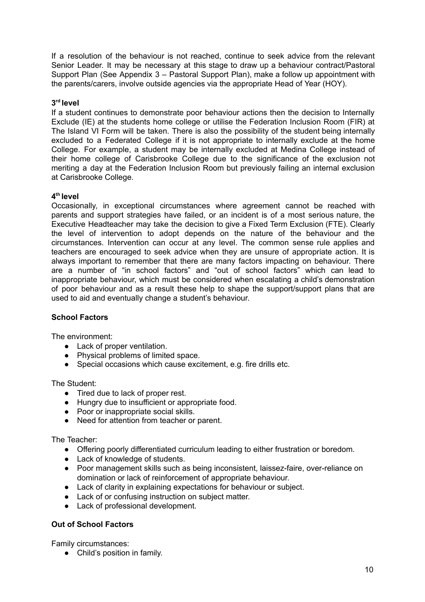If a resolution of the behaviour is not reached, continue to seek advice from the relevant Senior Leader. It may be necessary at this stage to draw up a behaviour contract/Pastoral Support Plan (See Appendix 3 – Pastoral Support Plan), make a follow up appointment with the parents/carers, involve outside agencies via the appropriate Head of Year (HOY).

#### **3 rd level**

If a student continues to demonstrate poor behaviour actions then the decision to Internally Exclude (IE) at the students home college or utilise the Federation Inclusion Room (FIR) at The Island VI Form will be taken. There is also the possibility of the student being internally excluded to a Federated College if it is not appropriate to internally exclude at the home College. For example, a student may be internally excluded at Medina College instead of their home college of Carisbrooke College due to the significance of the exclusion not meriting a day at the Federation Inclusion Room but previously failing an internal exclusion at Carisbrooke College.

#### **4 th level**

Occasionally, in exceptional circumstances where agreement cannot be reached with parents and support strategies have failed, or an incident is of a most serious nature, the Executive Headteacher may take the decision to give a Fixed Term Exclusion (FTE). Clearly the level of intervention to adopt depends on the nature of the behaviour and the circumstances. Intervention can occur at any level. The common sense rule applies and teachers are encouraged to seek advice when they are unsure of appropriate action. It is always important to remember that there are many factors impacting on behaviour. There are a number of "in school factors" and "out of school factors" which can lead to inappropriate behaviour, which must be considered when escalating a child's demonstration of poor behaviour and as a result these help to shape the support/support plans that are used to aid and eventually change a student's behaviour.

#### **School Factors**

The environment:

- Lack of proper ventilation.
- Physical problems of limited space.
- Special occasions which cause excitement, e.g. fire drills etc.

The Student:

- Tired due to lack of proper rest.
- Hungry due to insufficient or appropriate food.
- Poor or inappropriate social skills.
- Need for attention from teacher or parent.

The Teacher:

- Offering poorly differentiated curriculum leading to either frustration or boredom.
- Lack of knowledge of students.
- Poor management skills such as being inconsistent, laissez-faire, over-reliance on domination or lack of reinforcement of appropriate behaviour.
- Lack of clarity in explaining expectations for behaviour or subject.
- Lack of or confusing instruction on subject matter.
- Lack of professional development.

#### **Out of School Factors**

Family circumstances:

● Child's position in family.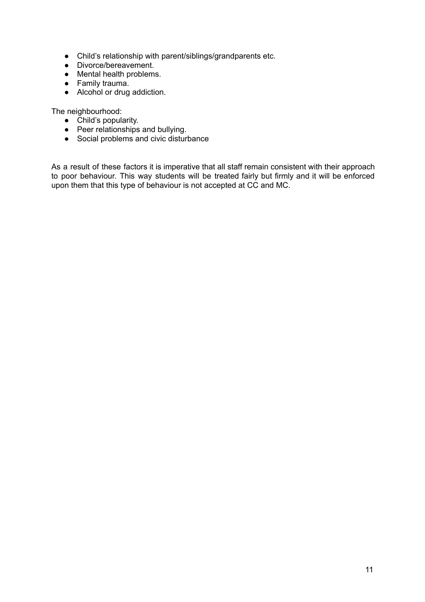- Child's relationship with parent/siblings/grandparents etc.
- Divorce/bereavement.
- Mental health problems.
- Family trauma.
- Alcohol or drug addiction.

The neighbourhood:

- Child's popularity.
- Peer relationships and bullying.
- Social problems and civic disturbance

As a result of these factors it is imperative that all staff remain consistent with their approach to poor behaviour. This way students will be treated fairly but firmly and it will be enforced upon them that this type of behaviour is not accepted at CC and MC.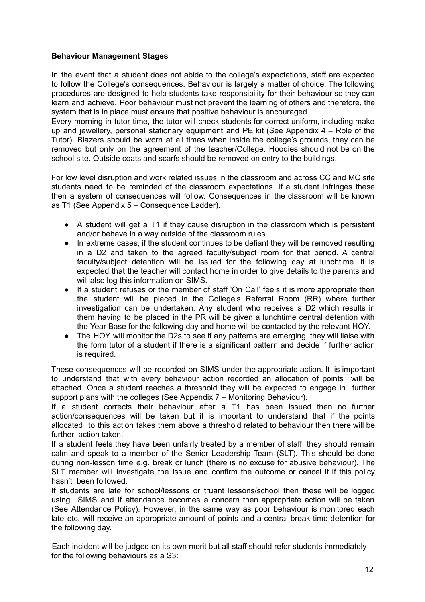#### **Behaviour Management Stages**

In the event that a student does not abide to the college's expectations, staff are expected to follow the College's consequences. Behaviour is largely a matter of choice. The following procedures are designed to help students take responsibility for their behaviour so they can learn and achieve. Poor behaviour must not prevent the learning of others and therefore, the system that is in place must ensure that positive behaviour is encouraged.

Every morning in tutor time, the tutor will check students for correct uniform, including make up and jewellery, personal stationary equipment and PE kit (See Appendix 4 – Role of the Tutor). Blazers should be worn at all times when inside the college's grounds, they can be removed but only on the agreement of the teacher/College. Hoodies should not be on the school site. Outside coats and scarfs should be removed on entry to the buildings.

For low level disruption and work related issues in the classroom and across CC and MC site students need to be reminded of the classroom expectations. If a student infringes these then a system of consequences will follow. Consequences in the classroom will be known as T1 (See Appendix 5 – Consequence Ladder).

- A student will get a T1 if they cause disruption in the classroom which is persistent and/or behave in a way outside of the classroom rules.
- In extreme cases, if the student continues to be defiant they will be removed resulting in a D2 and taken to the agreed faculty/subject room for that period. A central faculty/subject detention will be issued for the following day at lunchtime. It is expected that the teacher will contact home in order to give details to the parents and will also log this information on SIMS.
- If a student refuses or the member of staff 'On Call' feels it is more appropriate then the student will be placed in the College's Referral Room (RR) where further investigation can be undertaken. Any student who receives a D2 which results in them having to be placed in the PR will be given a lunchtime central detention with the Year Base for the following day and home will be contacted by the relevant HOY.
- The HOY will monitor the D2s to see if any patterns are emerging, they will liaise with the form tutor of a student if there is a significant pattern and decide if further action is required.

These consequences will be recorded on SIMS under the appropriate action. It is important to understand that with every behaviour action recorded an allocation of points will be attached. Once a student reaches a threshold they will be expected to engage in further support plans with the colleges (See Appendix 7 – Monitoring Behaviour).

If a student corrects their behaviour after a T1 has been issued then no further action/consequences will be taken but it is important to understand that if the points allocated to this action takes them above a threshold related to behaviour then there will be further action taken.

If a student feels they have been unfairly treated by a member of staff, they should remain calm and speak to a member of the Senior Leadership Team (SLT). This should be done during non-lesson time e.g. break or lunch (there is no excuse for abusive behaviour). The SLT member will investigate the issue and confirm the outcome or cancel it if this policy hasn't been followed.

If students are late for school/lessons or truant lessons/school then these will be logged using SIMS and if attendance becomes a concern then appropriate action will be taken (See Attendance Policy). However, in the same way as poor behaviour is monitored each late etc. will receive an appropriate amount of points and a central break time detention for the following day.

Each incident will be judged on its own merit but all staff should refer students immediately for the following behaviours as a S3: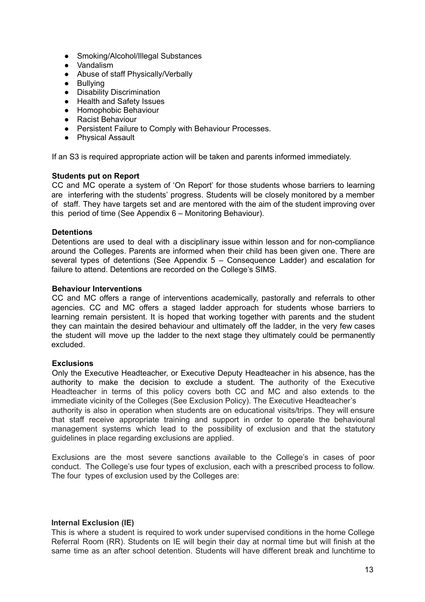- Smoking/Alcohol/Illegal Substances
- Vandalism
- Abuse of staff Physically/Verbally
- Bullying<br>● Disability
- Disability Discrimination
- Health and Safety Issues
- Homophobic Behaviour
- Racist Behaviour
- Persistent Failure to Comply with Behaviour Processes.
- Physical Assault

If an S3 is required appropriate action will be taken and parents informed immediately.

#### **Students put on Report**

CC and MC operate a system of 'On Report' for those students whose barriers to learning are interfering with the students' progress. Students will be closely monitored by a member of staff. They have targets set and are mentored with the aim of the student improving over this period of time (See Appendix 6 – Monitoring Behaviour).

#### **Detentions**

Detentions are used to deal with a disciplinary issue within lesson and for non-compliance around the Colleges. Parents are informed when their child has been given one. There are several types of detentions (See Appendix 5 – Consequence Ladder) and escalation for failure to attend. Detentions are recorded on the College's SIMS.

#### **Behaviour Interventions**

CC and MC offers a range of interventions academically, pastorally and referrals to other agencies. CC and MC offers a staged ladder approach for students whose barriers to learning remain persistent. It is hoped that working together with parents and the student they can maintain the desired behaviour and ultimately off the ladder, in the very few cases the student will move up the ladder to the next stage they ultimately could be permanently excluded.

#### **Exclusions**

Only the Executive Headteacher, or Executive Deputy Headteacher in his absence, has the authority to make the decision to exclude a student. The authority of the Executive Headteacher in terms of this policy covers both CC and MC and also extends to the immediate vicinity of the Colleges (See Exclusion Policy). The Executive Headteacher's authority is also in operation when students are on educational visits/trips. They will ensure that staff receive appropriate training and support in order to operate the behavioural management systems which lead to the possibility of exclusion and that the statutory guidelines in place regarding exclusions are applied.

Exclusions are the most severe sanctions available to the College's in cases of poor conduct. The College's use four types of exclusion, each with a prescribed process to follow. The four types of exclusion used by the Colleges are:

#### **Internal Exclusion (IE)**

This is where a student is required to work under supervised conditions in the home College Referral Room (RR). Students on IE will begin their day at normal time but will finish at the same time as an after school detention. Students will have different break and lunchtime to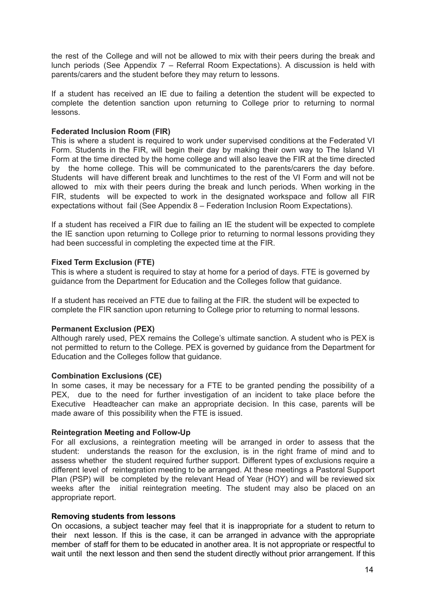the rest of the College and will not be allowed to mix with their peers during the break and lunch periods (See Appendix 7 – Referral Room Expectations). A discussion is held with parents/carers and the student before they may return to lessons.

If a student has received an IE due to failing a detention the student will be expected to complete the detention sanction upon returning to College prior to returning to normal lessons.

#### **Federated Inclusion Room (FIR)**

This is where a student is required to work under supervised conditions at the Federated VI Form. Students in the FIR, will begin their day by making their own way to The Island VI Form at the time directed by the home college and will also leave the FIR at the time directed by the home college. This will be communicated to the parents/carers the day before. Students will have different break and lunchtimes to the rest of the VI Form and will not be allowed to mix with their peers during the break and lunch periods. When working in the FIR, students will be expected to work in the designated workspace and follow all FIR expectations without fail (See Appendix 8 – Federation Inclusion Room Expectations).

If a student has received a FIR due to failing an IE the student will be expected to complete the IE sanction upon returning to College prior to returning to normal lessons providing they had been successful in completing the expected time at the FIR.

#### **Fixed Term Exclusion (FTE)**

This is where a student is required to stay at home for a period of days. FTE is governed by guidance from the Department for Education and the Colleges follow that guidance.

If a student has received an FTE due to failing at the FIR. the student will be expected to complete the FIR sanction upon returning to College prior to returning to normal lessons.

#### **Permanent Exclusion (PEX)**

Although rarely used, PEX remains the College's ultimate sanction. A student who is PEX is not permitted to return to the College. PEX is governed by guidance from the Department for Education and the Colleges follow that guidance.

#### **Combination Exclusions (CE)**

In some cases, it may be necessary for a FTE to be granted pending the possibility of a PEX, due to the need for further investigation of an incident to take place before the Executive Headteacher can make an appropriate decision. In this case, parents will be made aware of this possibility when the FTE is issued.

#### **Reintegration Meeting and Follow-Up**

For all exclusions, a reintegration meeting will be arranged in order to assess that the student: understands the reason for the exclusion, is in the right frame of mind and to assess whether the student required further support. Different types of exclusions require a different level of reintegration meeting to be arranged. At these meetings a Pastoral Support Plan (PSP) will be completed by the relevant Head of Year (HOY) and will be reviewed six weeks after the initial reintegration meeting. The student may also be placed on an appropriate report.

#### **Removing students from lessons**

On occasions, a subject teacher may feel that it is inappropriate for a student to return to their next lesson. If this is the case, it can be arranged in advance with the appropriate member of staff for them to be educated in another area. It is not appropriate or respectful to wait until the next lesson and then send the student directly without prior arrangement. If this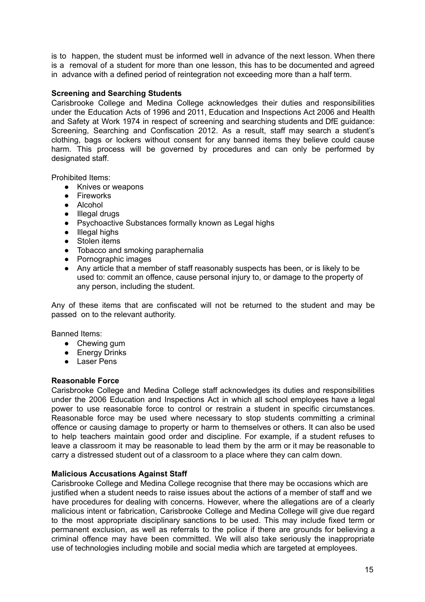is to happen, the student must be informed well in advance of the next lesson. When there is a removal of a student for more than one lesson, this has to be documented and agreed in advance with a defined period of reintegration not exceeding more than a half term.

#### **Screening and Searching Students**

Carisbrooke College and Medina College acknowledges their duties and responsibilities under the Education Acts of 1996 and 2011, Education and Inspections Act 2006 and Health and Safety at Work 1974 in respect of screening and searching students and DfE guidance: Screening, Searching and Confiscation 2012. As a result, staff may search a student's clothing, bags or lockers without consent for any banned items they believe could cause harm. This process will be governed by procedures and can only be performed by designated staff.

Prohibited Items:

- Knives or weapons
- Fireworks
- Alcohol
- Illegal drugs
- Psychoactive Substances formally known as Legal highs
- Illegal highs
- Stolen items
- Tobacco and smoking paraphernalia
- Pornographic images
- Any article that a member of staff reasonably suspects has been, or is likely to be used to: commit an offence, cause personal injury to, or damage to the property of any person, including the student.

Any of these items that are confiscated will not be returned to the student and may be passed on to the relevant authority.

Banned Items:

- Chewing gum
- Energy Drinks
- Laser Pens

#### **Reasonable Force**

Carisbrooke College and Medina College staff acknowledges its duties and responsibilities under the 2006 Education and Inspections Act in which all school employees have a legal power to use reasonable force to control or restrain a student in specific circumstances. Reasonable force may be used where necessary to stop students committing a criminal offence or causing damage to property or harm to themselves or others. It can also be used to help teachers maintain good order and discipline. For example, if a student refuses to leave a classroom it may be reasonable to lead them by the arm or it may be reasonable to carry a distressed student out of a classroom to a place where they can calm down.

#### **Malicious Accusations Against Staff**

Carisbrooke College and Medina College recognise that there may be occasions which are justified when a student needs to raise issues about the actions of a member of staff and we have procedures for dealing with concerns. However, where the allegations are of a clearly malicious intent or fabrication, Carisbrooke College and Medina College will give due regard to the most appropriate disciplinary sanctions to be used. This may include fixed term or permanent exclusion, as well as referrals to the police if there are grounds for believing a criminal offence may have been committed. We will also take seriously the inappropriate use of technologies including mobile and social media which are targeted at employees.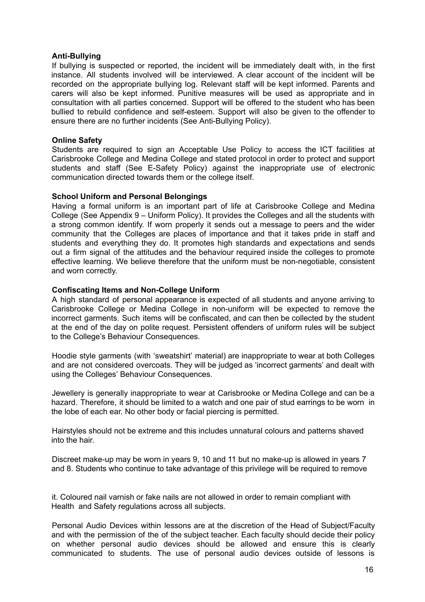#### **Anti-Bullying**

If bullying is suspected or reported, the incident will be immediately dealt with, in the first instance. All students involved will be interviewed. A clear account of the incident will be recorded on the appropriate bullying log. Relevant staff will be kept informed. Parents and carers will also be kept informed. Punitive measures will be used as appropriate and in consultation with all parties concerned. Support will be offered to the student who has been bullied to rebuild confidence and self-esteem. Support will also be given to the offender to ensure there are no further incidents (See Anti-Bullying Policy).

#### **Online Safety**

Students are required to sign an Acceptable Use Policy to access the ICT facilities at Carisbrooke College and Medina College and stated protocol in order to protect and support students and staff (See E-Safety Policy) against the inappropriate use of electronic communication directed towards them or the college itself.

#### **School Uniform and Personal Belongings**

Having a formal uniform is an important part of life at Carisbrooke College and Medina College (See Appendix 9 – Uniform Policy). It provides the Colleges and all the students with a strong common identify. If worn properly it sends out a message to peers and the wider community that the Colleges are places of importance and that it takes pride in staff and students and everything they do. It promotes high standards and expectations and sends out a firm signal of the attitudes and the behaviour required inside the colleges to promote effective learning. We believe therefore that the uniform must be non-negotiable, consistent and worn correctly.

#### **Confiscating Items and Non-College Uniform**

A high standard of personal appearance is expected of all students and anyone arriving to Carisbrooke College or Medina College in non-uniform will be expected to remove the incorrect garments. Such items will be confiscated, and can then be collected by the student at the end of the day on polite request. Persistent offenders of uniform rules will be subject to the College's Behaviour Consequences.

Hoodie style garments (with 'sweatshirt' material) are inappropriate to wear at both Colleges and are not considered overcoats. They will be judged as 'incorrect garments' and dealt with using the Colleges' Behaviour Consequences.

Jewellery is generally inappropriate to wear at Carisbrooke or Medina College and can be a hazard. Therefore, it should be limited to a watch and one pair of stud earrings to be worn in the lobe of each ear. No other body or facial piercing is permitted.

Hairstyles should not be extreme and this includes unnatural colours and patterns shaved into the hair.

Discreet make-up may be worn in years 9, 10 and 11 but no make-up is allowed in years 7 and 8. Students who continue to take advantage of this privilege will be required to remove

it. Coloured nail varnish or fake nails are not allowed in order to remain compliant with Health and Safety regulations across all subjects.

Personal Audio Devices within lessons are at the discretion of the Head of Subject/Faculty and with the permission of the of the subject teacher. Each faculty should decide their policy on whether personal audio devices should be allowed and ensure this is clearly communicated to students. The use of personal audio devices outside of lessons is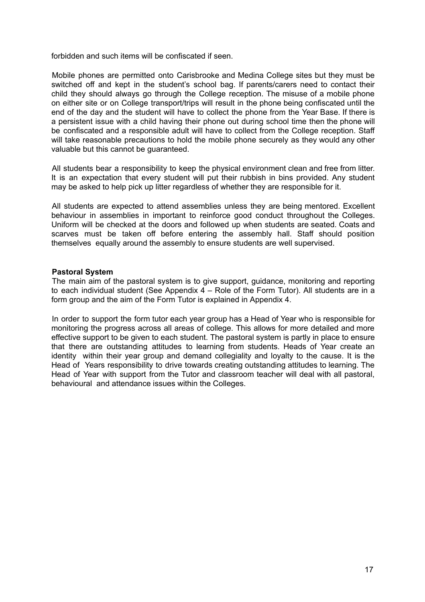forbidden and such items will be confiscated if seen.

Mobile phones are permitted onto Carisbrooke and Medina College sites but they must be switched off and kept in the student's school bag. If parents/carers need to contact their child they should always go through the College reception. The misuse of a mobile phone on either site or on College transport/trips will result in the phone being confiscated until the end of the day and the student will have to collect the phone from the Year Base. If there is a persistent issue with a child having their phone out during school time then the phone will be confiscated and a responsible adult will have to collect from the College reception. Staff will take reasonable precautions to hold the mobile phone securely as they would any other valuable but this cannot be guaranteed.

All students bear a responsibility to keep the physical environment clean and free from litter. It is an expectation that every student will put their rubbish in bins provided. Any student may be asked to help pick up litter regardless of whether they are responsible for it.

All students are expected to attend assemblies unless they are being mentored. Excellent behaviour in assemblies in important to reinforce good conduct throughout the Colleges. Uniform will be checked at the doors and followed up when students are seated. Coats and scarves must be taken off before entering the assembly hall. Staff should position themselves equally around the assembly to ensure students are well supervised.

#### **Pastoral System**

The main aim of the pastoral system is to give support, guidance, monitoring and reporting to each individual student (See Appendix  $4 -$  Role of the Form Tutor). All students are in a form group and the aim of the Form Tutor is explained in Appendix 4.

In order to support the form tutor each year group has a Head of Year who is responsible for monitoring the progress across all areas of college. This allows for more detailed and more effective support to be given to each student. The pastoral system is partly in place to ensure that there are outstanding attitudes to learning from students. Heads of Year create an identity within their year group and demand collegiality and loyalty to the cause. It is the Head of Years responsibility to drive towards creating outstanding attitudes to learning. The Head of Year with support from the Tutor and classroom teacher will deal with all pastoral, behavioural and attendance issues within the Colleges.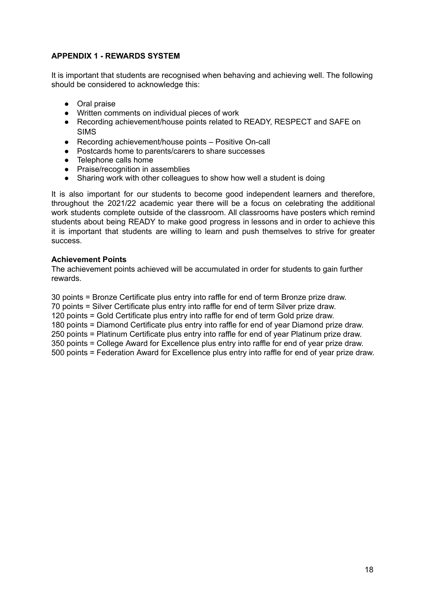#### **APPENDIX 1 - REWARDS SYSTEM**

It is important that students are recognised when behaving and achieving well. The following should be considered to acknowledge this:

- Oral praise
- Written comments on individual pieces of work
- Recording achievement/house points related to READY, RESPECT and SAFE on SIMS
- Recording achievement/house points Positive On-call
- Postcards home to parents/carers to share successes
- Telephone calls home
- Praise/recognition in assemblies
- Sharing work with other colleagues to show how well a student is doing

It is also important for our students to become good independent learners and therefore, throughout the 2021/22 academic year there will be a focus on celebrating the additional work students complete outside of the classroom. All classrooms have posters which remind students about being READY to make good progress in lessons and in order to achieve this it is important that students are willing to learn and push themselves to strive for greater success.

#### **Achievement Points**

The achievement points achieved will be accumulated in order for students to gain further rewards.

30 points = Bronze Certificate plus entry into raffle for end of term Bronze prize draw.

70 points = Silver Certificate plus entry into raffle for end of term Silver prize draw.

120 points = Gold Certificate plus entry into raffle for end of term Gold prize draw.

180 points = Diamond Certificate plus entry into raffle for end of year Diamond prize draw.

250 points = Platinum Certificate plus entry into raffle for end of year Platinum prize draw.

350 points = College Award for Excellence plus entry into raffle for end of year prize draw. 500 points = Federation Award for Excellence plus entry into raffle for end of year prize draw.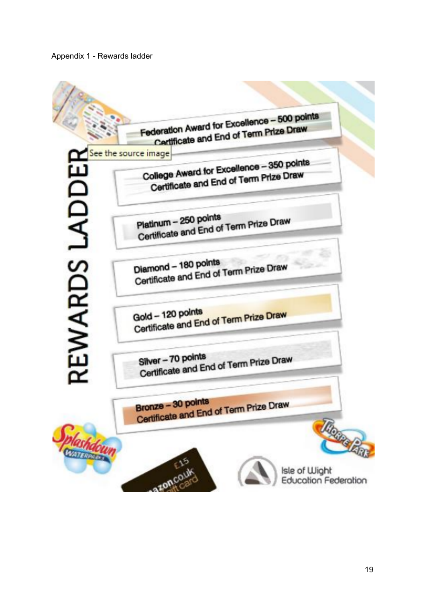Appendix 1 - Rewards ladder

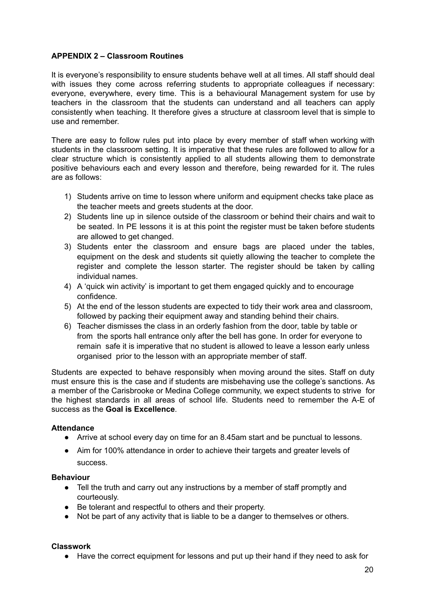#### **APPENDIX 2 – Classroom Routines**

It is everyone's responsibility to ensure students behave well at all times. All staff should deal with issues they come across referring students to appropriate colleagues if necessary: everyone, everywhere, every time. This is a behavioural Management system for use by teachers in the classroom that the students can understand and all teachers can apply consistently when teaching. It therefore gives a structure at classroom level that is simple to use and remember.

There are easy to follow rules put into place by every member of staff when working with students in the classroom setting. It is imperative that these rules are followed to allow for a clear structure which is consistently applied to all students allowing them to demonstrate positive behaviours each and every lesson and therefore, being rewarded for it. The rules are as follows:

- 1) Students arrive on time to lesson where uniform and equipment checks take place as the teacher meets and greets students at the door.
- 2) Students line up in silence outside of the classroom or behind their chairs and wait to be seated. In PE lessons it is at this point the register must be taken before students are allowed to get changed.
- 3) Students enter the classroom and ensure bags are placed under the tables, equipment on the desk and students sit quietly allowing the teacher to complete the register and complete the lesson starter. The register should be taken by calling individual names.
- 4) A 'quick win activity' is important to get them engaged quickly and to encourage confidence.
- 5) At the end of the lesson students are expected to tidy their work area and classroom, followed by packing their equipment away and standing behind their chairs.
- 6) Teacher dismisses the class in an orderly fashion from the door, table by table or from the sports hall entrance only after the bell has gone. In order for everyone to remain safe it is imperative that no student is allowed to leave a lesson early unless organised prior to the lesson with an appropriate member of staff.

Students are expected to behave responsibly when moving around the sites. Staff on duty must ensure this is the case and if students are misbehaving use the college's sanctions. As a member of the Carisbrooke or Medina College community, we expect students to strive for the highest standards in all areas of school life. Students need to remember the A-E of success as the **Goal is Excellence**.

#### **Attendance**

- Arrive at school every day on time for an 8.45am start and be punctual to lessons.
- Aim for 100% attendance in order to achieve their targets and greater levels of success.

#### **Behaviour**

- Tell the truth and carry out any instructions by a member of staff promptly and courteously.
- Be tolerant and respectful to others and their property.
- Not be part of any activity that is liable to be a danger to themselves or others.

#### **Classwork**

● Have the correct equipment for lessons and put up their hand if they need to ask for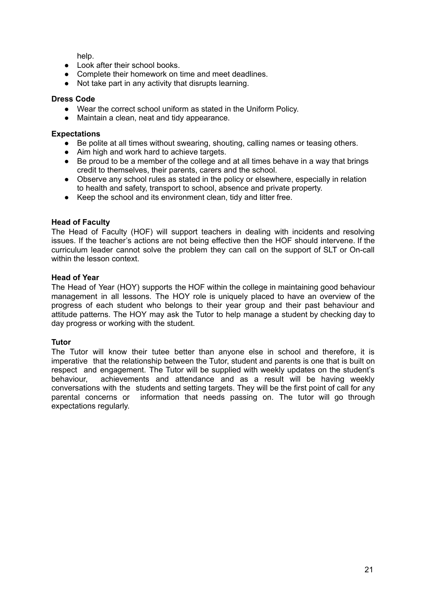help.

- Look after their school books.
- Complete their homework on time and meet deadlines.
- Not take part in any activity that disrupts learning.

#### **Dress Code**

- Wear the correct school uniform as stated in the Uniform Policy.
- Maintain a clean, neat and tidy appearance.

#### **Expectations**

- Be polite at all times without swearing, shouting, calling names or teasing others.
- Aim high and work hard to achieve targets.
- Be proud to be a member of the college and at all times behave in a way that brings credit to themselves, their parents, carers and the school.
- Observe any school rules as stated in the policy or elsewhere, especially in relation to health and safety, transport to school, absence and private property.
- Keep the school and its environment clean, tidy and litter free.

#### **Head of Faculty**

The Head of Faculty (HOF) will support teachers in dealing with incidents and resolving issues. If the teacher's actions are not being effective then the HOF should intervene. If the curriculum leader cannot solve the problem they can call on the support of SLT or On-call within the lesson context.

#### **Head of Year**

The Head of Year (HOY) supports the HOF within the college in maintaining good behaviour management in all lessons. The HOY role is uniquely placed to have an overview of the progress of each student who belongs to their year group and their past behaviour and attitude patterns. The HOY may ask the Tutor to help manage a student by checking day to day progress or working with the student.

#### **Tutor**

The Tutor will know their tutee better than anyone else in school and therefore, it is imperative that the relationship between the Tutor, student and parents is one that is built on respect and engagement. The Tutor will be supplied with weekly updates on the student's behaviour, achievements and attendance and as a result will be having weekly conversations with the students and setting targets. They will be the first point of call for any parental concerns or information that needs passing on. The tutor will go through expectations regularly.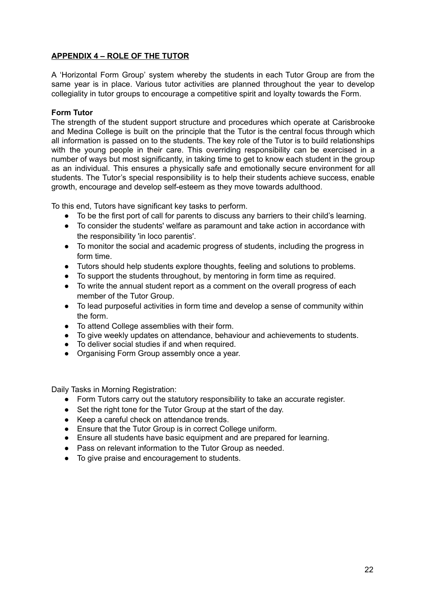#### **APPENDIX 4 – ROLE OF THE TUTOR**

A 'Horizontal Form Group' system whereby the students in each Tutor Group are from the same year is in place. Various tutor activities are planned throughout the year to develop collegiality in tutor groups to encourage a competitive spirit and loyalty towards the Form.

#### **Form Tutor**

The strength of the student support structure and procedures which operate at Carisbrooke and Medina College is built on the principle that the Tutor is the central focus through which all information is passed on to the students. The key role of the Tutor is to build relationships with the young people in their care. This overriding responsibility can be exercised in a number of ways but most significantly, in taking time to get to know each student in the group as an individual. This ensures a physically safe and emotionally secure environment for all students. The Tutor's special responsibility is to help their students achieve success, enable growth, encourage and develop self-esteem as they move towards adulthood.

To this end, Tutors have significant key tasks to perform.

- To be the first port of call for parents to discuss any barriers to their child's learning.
- To consider the students' welfare as paramount and take action in accordance with the responsibility 'in loco parentis'.
- To monitor the social and academic progress of students, including the progress in form time.
- Tutors should help students explore thoughts, feeling and solutions to problems.
- To support the students throughout, by mentoring in form time as required.
- To write the annual student report as a comment on the overall progress of each member of the Tutor Group.
- To lead purposeful activities in form time and develop a sense of community within the form.
- To attend College assemblies with their form.
- To give weekly updates on attendance, behaviour and achievements to students.
- To deliver social studies if and when required.
- Organising Form Group assembly once a year.

Daily Tasks in Morning Registration:

- Form Tutors carry out the statutory responsibility to take an accurate register.
- Set the right tone for the Tutor Group at the start of the day.
- Keep a careful check on attendance trends.
- Ensure that the Tutor Group is in correct College uniform.
- Ensure all students have basic equipment and are prepared for learning.
- Pass on relevant information to the Tutor Group as needed.
- To give praise and encouragement to students.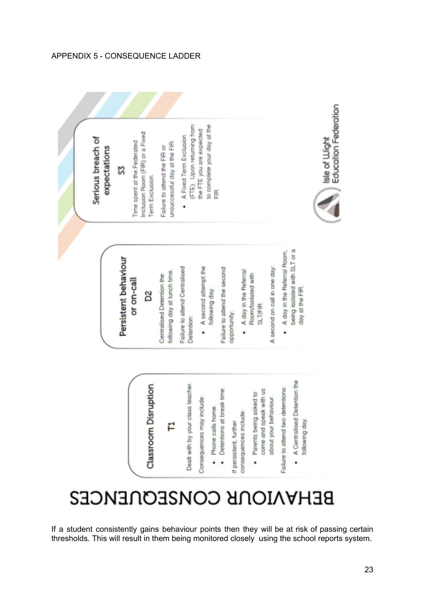#### APPENDIX 5 - CONSEQUENCE LADDER

Serious breach of expectations ន្ល

Persistent behaviour

or on-call

D<sub>2</sub>

Inclusion Room (FIR) or a Fixed Time spent at the Federated Term Exclusion.

unsuccessful day at the FIR: Failure to attend the FIR or

to complete your day at the (FTE). Upon returning from the FTE you are expected A Fixed Term Exclusion Ë

Failure to attend Centralised

Detention:

following day at lunch time. Centralised Detention the

. A second attempt the following day. Failure to attend the second opportunity:

A day in the Referral Room/Isolated with SLT/FIR. .

A second on call in one day:

being isolated with SLT or a A day in the Referral Room, day at the FIR. ٠



# Classroom Disruption

### ᄅ

Dealt with by your class teacher

Consequences may include:

- Phone calls home. .
- Detentions at break time

consequences include: If persistent, further .

come and speak with us Parents being asked to about your behaviour. Failure to attend two detentions:

- A Centralised Detention the .
	- following day

# **BEHAVIOUR CONSEQUENCES**

If a student consistently gains behaviour points then they will be at risk of passing certain thresholds. This will result in them being monitored closely using the school reports system.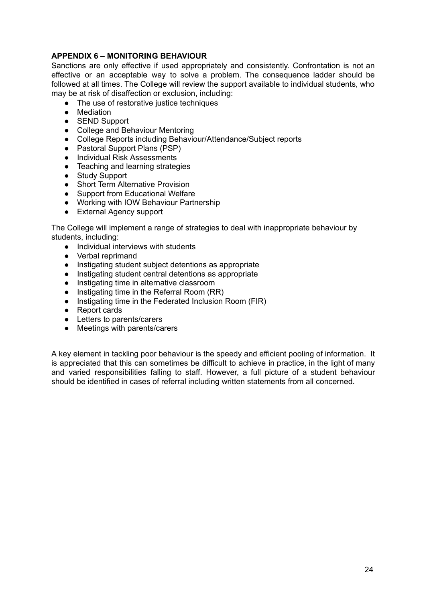#### **APPENDIX 6 – MONITORING BEHAVIOUR**

Sanctions are only effective if used appropriately and consistently. Confrontation is not an effective or an acceptable way to solve a problem. The consequence ladder should be followed at all times. The College will review the support available to individual students, who may be at risk of disaffection or exclusion, including:

- The use of restorative justice techniques<br>● Mediation
- **Mediation**
- SEND Support
- College and Behaviour Mentoring
- College Reports including Behaviour/Attendance/Subject reports
- Pastoral Support Plans (PSP)
- Individual Risk Assessments
- Teaching and learning strategies
- Study Support
- Short Term Alternative Provision
- Support from Educational Welfare
- Working with IOW Behaviour Partnership
- External Agency support

The College will implement a range of strategies to deal with inappropriate behaviour by students, including:

- Individual interviews with students
- Verbal reprimand
- Instigating student subject detentions as appropriate
- Instigating student central detentions as appropriate
- Instigating time in alternative classroom
- Instigating time in the Referral Room (RR)
- Instigating time in the Federated Inclusion Room (FIR)
- Report cards
- Letters to parents/carers
- Meetings with parents/carers

A key element in tackling poor behaviour is the speedy and efficient pooling of information. It is appreciated that this can sometimes be difficult to achieve in practice, in the light of many and varied responsibilities falling to staff. However, a full picture of a student behaviour should be identified in cases of referral including written statements from all concerned.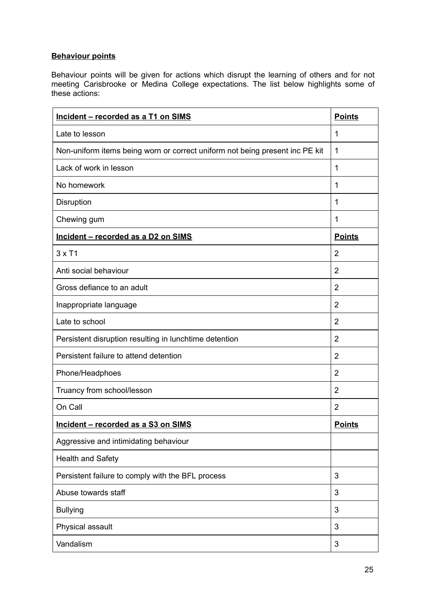#### **Behaviour points**

Behaviour points will be given for actions which disrupt the learning of others and for not meeting Carisbrooke or Medina College expectations. The list below highlights some of these actions:

| Incident - recorded as a T1 on SIMS                                          |                |
|------------------------------------------------------------------------------|----------------|
| Late to lesson                                                               |                |
| Non-uniform items being worn or correct uniform not being present inc PE kit |                |
| Lack of work in lesson                                                       |                |
| No homework                                                                  | 1              |
| <b>Disruption</b>                                                            | 1              |
| Chewing gum                                                                  | $\mathbf{1}$   |
| Incident - recorded as a D2 on SIMS                                          |                |
| $3 \times T1$                                                                | $\overline{2}$ |
| Anti social behaviour                                                        | $\overline{2}$ |
| Gross defiance to an adult                                                   | $\overline{2}$ |
| Inappropriate language                                                       | $\overline{2}$ |
| Late to school                                                               | $\overline{2}$ |
| Persistent disruption resulting in lunchtime detention                       |                |
| Persistent failure to attend detention                                       |                |
| Phone/Headphoes                                                              |                |
| Truancy from school/lesson                                                   |                |
| On Call                                                                      | $\overline{2}$ |
| Incident - recorded as a S3 on SIMS                                          |                |
| Aggressive and intimidating behaviour                                        |                |
| <b>Health and Safety</b>                                                     |                |
| Persistent failure to comply with the BFL process                            |                |
| Abuse towards staff                                                          |                |
| <b>Bullying</b>                                                              |                |
| Physical assault                                                             |                |
| Vandalism                                                                    |                |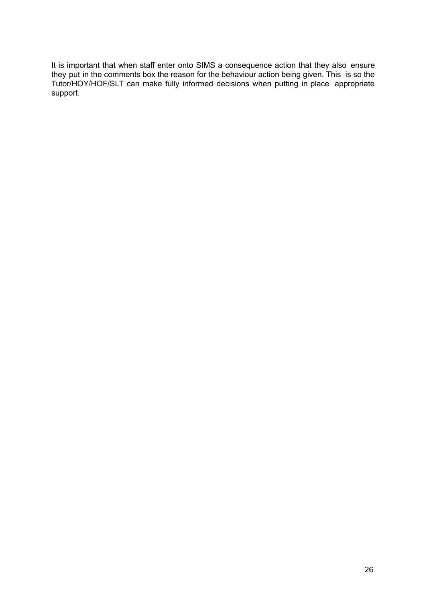It is important that when staff enter onto SIMS a consequence action that they also ensure they put in the comments box the reason for the behaviour action being given. This is so the Tutor/HOY/HOF/SLT can make fully informed decisions when putting in place appropriate support.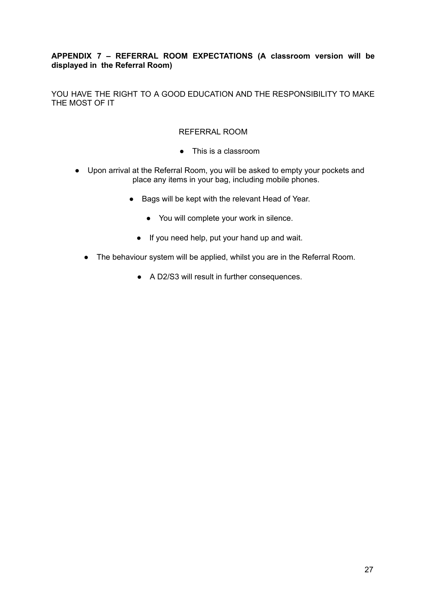#### **APPENDIX 7 – REFERRAL ROOM EXPECTATIONS (A classroom version will be displayed in the Referral Room)**

YOU HAVE THE RIGHT TO A GOOD EDUCATION AND THE RESPONSIBILITY TO MAKE THE MOST OF IT

#### REFERRAL ROOM

- This is a classroom
- Upon arrival at the Referral Room, you will be asked to empty your pockets and place any items in your bag, including mobile phones.
	- Bags will be kept with the relevant Head of Year.
		- You will complete your work in silence.
		- If you need help, put your hand up and wait.
	- The behaviour system will be applied, whilst you are in the Referral Room.
		- A D2/S3 will result in further consequences.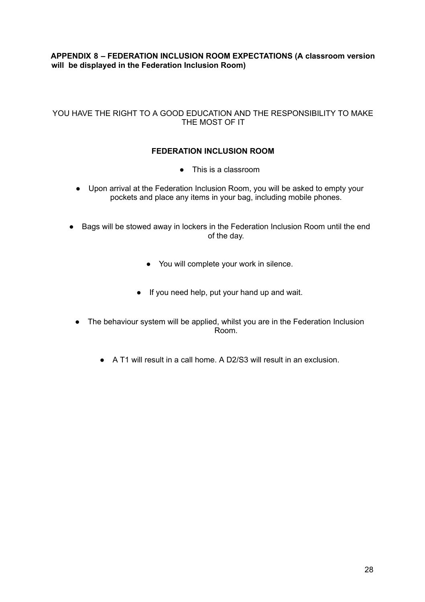#### **APPENDIX 8 – FEDERATION INCLUSION ROOM EXPECTATIONS (A classroom version will be displayed in the Federation Inclusion Room)**

#### YOU HAVE THE RIGHT TO A GOOD EDUCATION AND THE RESPONSIBILITY TO MAKE THE MOST OF IT

#### **FEDERATION INCLUSION ROOM**

- This is a classroom
- Upon arrival at the Federation Inclusion Room, you will be asked to empty your pockets and place any items in your bag, including mobile phones.
- Bags will be stowed away in lockers in the Federation Inclusion Room until the end of the day.
	- You will complete your work in silence.
	- If you need help, put your hand up and wait.
	- The behaviour system will be applied, whilst you are in the Federation Inclusion Room.
		- A T1 will result in a call home. A D2/S3 will result in an exclusion.